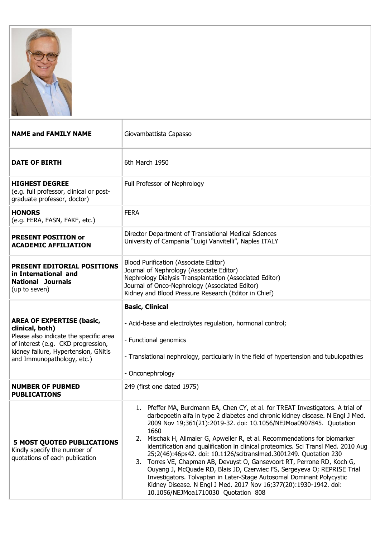

| <b>NAME and FAMILY NAME</b>                                                                                                                                                                               | Giovambattista Capasso                                                                                                                                                                                                                                                                                                                                                                                                                                                                                                                                                                                                                                                                                                                                                                                                                  |
|-----------------------------------------------------------------------------------------------------------------------------------------------------------------------------------------------------------|-----------------------------------------------------------------------------------------------------------------------------------------------------------------------------------------------------------------------------------------------------------------------------------------------------------------------------------------------------------------------------------------------------------------------------------------------------------------------------------------------------------------------------------------------------------------------------------------------------------------------------------------------------------------------------------------------------------------------------------------------------------------------------------------------------------------------------------------|
| <b>DATE OF BIRTH</b>                                                                                                                                                                                      | 6th March 1950                                                                                                                                                                                                                                                                                                                                                                                                                                                                                                                                                                                                                                                                                                                                                                                                                          |
| <b>HIGHEST DEGREE</b><br>(e.g. full professor, clinical or post-<br>graduate professor, doctor)                                                                                                           | Full Professor of Nephrology                                                                                                                                                                                                                                                                                                                                                                                                                                                                                                                                                                                                                                                                                                                                                                                                            |
| <b>HONORS</b><br>(e.g. FERA, FASN, FAKF, etc.)                                                                                                                                                            | <b>FERA</b>                                                                                                                                                                                                                                                                                                                                                                                                                                                                                                                                                                                                                                                                                                                                                                                                                             |
| <b>PRESENT POSITION or</b><br><b>ACADEMIC AFFILIATION</b>                                                                                                                                                 | Director Department of Translational Medical Sciences<br>University of Campania "Luigi Vanvitelli", Naples ITALY                                                                                                                                                                                                                                                                                                                                                                                                                                                                                                                                                                                                                                                                                                                        |
| <b>PRESENT EDITORIAL POSITIONS</b><br>in International and<br><b>National Journals</b><br>(up to seven)                                                                                                   | Blood Purification (Associate Editor)<br>Journal of Nephrology (Associate Editor)<br>Nephrology Dialysis Transplantation (Associated Editor)<br>Journal of Onco-Nephrology (Associated Editor)<br>Kidney and Blood Pressure Research (Editor in Chief)                                                                                                                                                                                                                                                                                                                                                                                                                                                                                                                                                                                  |
| <b>AREA OF EXPERTISE (basic,</b><br>clinical, both)<br>Please also indicate the specific area<br>of interest (e.g. CKD progression,<br>kidney failure, Hypertension, GNitis<br>and Immunopathology, etc.) | <b>Basic, Clinical</b><br>- Acid-base and electrolytes regulation, hormonal control;<br>- Functional genomics<br>- Translational nephrology, particularly in the field of hypertension and tubulopathies<br>- Onconephrology                                                                                                                                                                                                                                                                                                                                                                                                                                                                                                                                                                                                            |
| <b>NUMBER OF PUBMED</b><br><b>PUBLICATIONS</b>                                                                                                                                                            | 249 (first one dated 1975)                                                                                                                                                                                                                                                                                                                                                                                                                                                                                                                                                                                                                                                                                                                                                                                                              |
| <b>5 MOST QUOTED PUBLICATIONS</b><br>Kindly specify the number of<br>quotations of each publication                                                                                                       | Pfeffer MA, Burdmann EA, Chen CY, et al. for TREAT Investigators. A trial of<br>1.<br>darbepoetin alfa in type 2 diabetes and chronic kidney disease. N Engl J Med.<br>2009 Nov 19;361(21):2019-32. doi: 10.1056/NEJMoa0907845. Quotation<br>1660<br>Mischak H, Allmaier G, Apweiler R, et al. Recommendations for biomarker<br>2.<br>identification and qualification in clinical proteomics. Sci Transl Med. 2010 Aug<br>25;2(46):46ps42. doi: 10.1126/scitranslmed.3001249. Quotation 230<br>3. Torres VE, Chapman AB, Devuyst O, Gansevoort RT, Perrone RD, Koch G,<br>Ouyang J, McQuade RD, Blais JD, Czerwiec FS, Sergeyeva O; REPRISE Trial<br>Investigators. Tolvaptan in Later-Stage Autosomal Dominant Polycystic<br>Kidney Disease. N Engl J Med. 2017 Nov 16;377(20):1930-1942. doi:<br>10.1056/NEJMoa1710030 Quotation 808 |